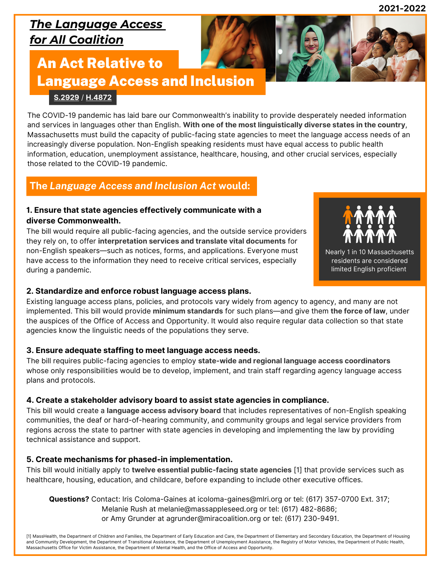**2021-2022**

### *The Language Access for All Coalition*

## An Act Relative to Language Access and Inclusion

#### **[S.2929](https://malegislature.gov/Bills/192/S2929)** / **[H.4872](https://malegislature.gov/Bills/192/H4872/)**

The COVID-19 pandemic has laid bare our Commonwealth's inability to provide desperately needed information and services in languages other than English. **With one of the most linguistically diverse states in the country**, Massachusetts must build the capacity of public-facing state agencies to meet the language access needs of an increasingly diverse population. Non-English speaking residents must have equal access to public health information, education, unemployment assistance, healthcare, housing, and other crucial services, especially those related to the COVID-19 pandemic.

### **The** *Language Access and Inclusion Act* **would:**

#### **1. Ensure that state agencies effectively communicate with a diverse Commonwealth.**

The bill would require all public-facing agencies, and the outside service providers they rely on, to offer **interpretation services and translate vital documents** for non-English speakers—such as notices, forms, and applications. Everyone must have access to the information they need to receive critical services, especially during a pandemic.



Nearly 1 in 10 Massachusetts residents are considered limited English proficient

#### **2. Standardize and enforce robust language access plans.**

Existing language access plans, policies, and protocols vary widely from agency to agency, and many are not implemented. This bill would provide **minimum standards** for such plans—and give them **the force of law**, under the auspices of the Office of Access and Opportunity. It would also require regular data collection so that state agencies know the linguistic needs of the populations they serve.

#### **3. Ensure adequate staffing to meet language access needs.**

The bill requires public-facing agencies to employ **state-wide and regional language access coordinators** whose only responsibilities would be to develop, implement, and train staff regarding agency language access plans and protocols.

#### **4. Create a stakeholder advisory board to assist state agencies in compliance.**

This bill would create a **language access advisory board** that includes representatives of non-English speaking communities, the deaf or hard-of-hearing community, and community groups and legal service providers from regions across the state to partner with state agencies in developing and implementing the law by providing technical assistance and support.

#### **5. Create mechanisms for phased-in implementation.**

This bill would initially apply to **twelve essential public-facing state agencies** [1] that provide services such as healthcare, housing, education, and childcare, before expanding to include other executive offices.

**Questions?** Contact: Iris Coloma-Gaines at icoloma-gaines@mlri.org or tel: (617) 357-0700 Ext. 317; Melanie Rush at melanie@massappleseed.org or tel: (617) 482-8686; or Amy Grunder at agrunder@miracoalition.org or tel: (617) 230-9491.

[1] MassHealth, the Department of Children and Families, the Department of Early Education and Care, the Department of Elementary and Secondary Education, the Department of Housing and Community Development, the Department of Transitional Assistance, the Department of Unemployment Assistance, the Registry of Motor Vehicles, the Department of Public Health, Massachusetts Office for Victim Assistance, the Department of Mental Health, and the Office of Access and Opportunity.